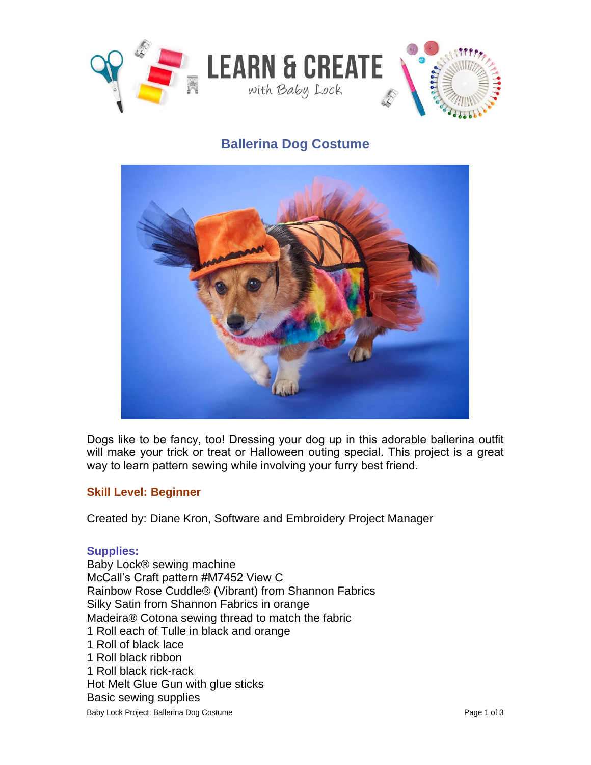

## **Ballerina Dog Costume**



Dogs like to be fancy, too! Dressing your dog up in this adorable ballerina outfit will make your trick or treat or Halloween outing special. This project is a great way to learn pattern sewing while involving your furry best friend.

## **Skill Level: Beginner**

Created by: Diane Kron, Software and Embroidery Project Manager

## **Supplies:**

Baby Lock Project: Ballerina Dog Costume **Page 1 of 3** Page 1 of 3 Baby Lock® sewing machine McCall's Craft pattern #M7452 View C Rainbow Rose Cuddle® (Vibrant) from Shannon Fabrics Silky Satin from Shannon Fabrics in orange Madeira® Cotona sewing thread to match the fabric 1 Roll each of Tulle in black and orange 1 Roll of black lace 1 Roll black ribbon 1 Roll black rick-rack Hot Melt Glue Gun with glue sticks Basic sewing supplies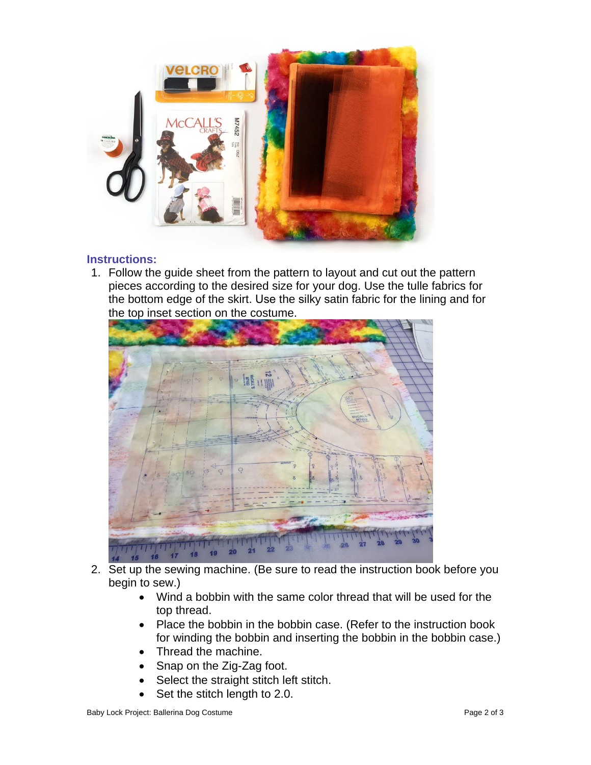

## **Instructions:**

1. Follow the guide sheet from the pattern to layout and cut out the pattern pieces according to the desired size for your dog. Use the tulle fabrics for the bottom edge of the skirt. Use the silky satin fabric for the lining and for the top inset section on the costume.



- 2. Set up the sewing machine. (Be sure to read the instruction book before you begin to sew.)
	- Wind a bobbin with the same color thread that will be used for the top thread.
	- Place the bobbin in the bobbin case. (Refer to the instruction book for winding the bobbin and inserting the bobbin in the bobbin case.)
	- Thread the machine.
	- Snap on the Zig-Zag foot.
	- Select the straight stitch left stitch.
	- Set the stitch length to 2.0.